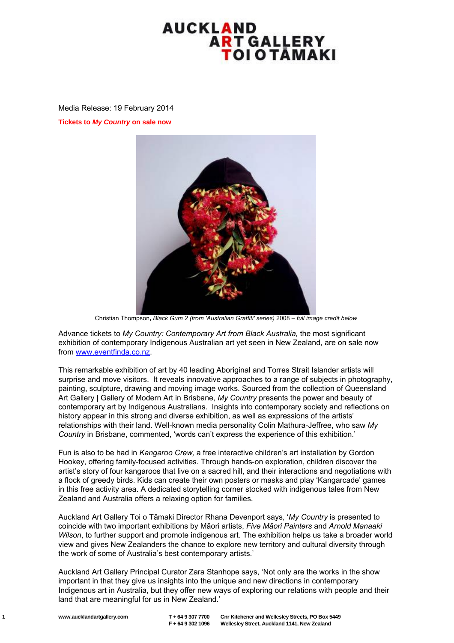## AUCKLAND **ART GALLERY** ΤΟΙΟΤĀΜΑΚΙ

Media Release: 19 February 2014

**Tickets to** *My Country* **on sale now** 



Christian Thompson**,** *Black Gum 2 (from 'Australian Graffiti' series)* 2008 – *full image credit below*

Advance tickets to *My Country: Contemporary Art from Black Australia,* the most significant exhibition of contemporary Indigenous Australian art yet seen in New Zealand, are on sale now from [www.eventfinda.co.nz.](http://www.eventfinda.co.nz/)

This remarkable exhibition of art by 40 leading Aboriginal and Torres Strait Islander artists will surprise and move visitors. It reveals innovative approaches to a range of subjects in photography, painting, sculpture, drawing and moving image works. Sourced from the collection of Queensland Art Gallery | Gallery of Modern Art in Brisbane, *My Country* presents the power and beauty of contemporary art by Indigenous Australians. Insights into contemporary society and reflections on history appear in this strong and diverse exhibition, as well as expressions of the artists' relationships with their land. Well-known media personality Colin Mathura-Jeffree, who saw *My Country* in Brisbane, commented, 'words can't express the experience of this exhibition.'

Fun is also to be had in *Kangaroo Crew,* a free interactive children's art installation by Gordon Hookey, offering family-focused activities. Through hands-on exploration, children discover the artist's story of four kangaroos that live on a sacred hill, and their interactions and negotiations with a flock of greedy birds. Kids can create their own posters or masks and play 'Kangarcade' games in this free activity area. A dedicated storytelling corner stocked with indigenous tales from New Zealand and Australia offers a relaxing option for families.

Auckland Art Gallery Toi o Tāmaki Director Rhana Devenport says, '*My Country* is presented to coincide with two important exhibitions by Māori artists, *Five Māori Painters* and *Arnold Manaaki Wilson*, to further support and promote indigenous art. The exhibition helps us take a broader world view and gives New Zealanders the chance to explore new territory and cultural diversity through the work of some of Australia's best contemporary artists.'

Auckland Art Gallery Principal Curator Zara Stanhope says, 'Not only are the works in the show important in that they give us insights into the unique and new directions in contemporary Indigenous art in Australia, but they offer new ways of exploring our relations with people and their land that are meaningful for us in New Zealand.'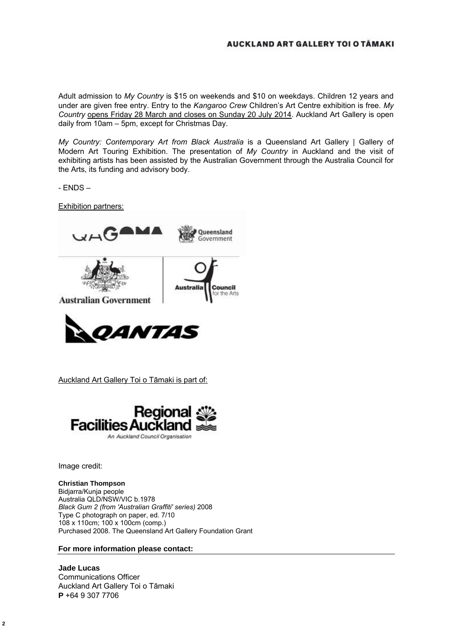## AUCKLAND ART GALLERY TOI O TÂMAKI

Adult admission to *My Country* is \$15 on weekends and \$10 on weekdays. Children 12 years and under are given free entry. Entry to the *Kangaroo Crew* Children's Art Centre exhibition is free. *My Country* opens Friday 28 March and closes on Sunday 20 July 2014. Auckland Art Gallery is open daily from 10am – 5pm, except for Christmas Day.

*My Country: Contemporary Art from Black Australia* is a Queensland Art Gallery | Gallery of Modern Art Touring Exhibition. The presentation of *My Country* in Auckland and the visit of exhibiting artists has been assisted by the Australian Government through the Australia Council for the Arts, its funding and advisory body.

- ENDS –

Exhibition partners:





Auckland Art Gallery Toi o Tāmaki is part of:



Image credit:

## **Christian Thompson**

Bidjarra/Kunja people Australia QLD/NSW/VIC b.1978 *Black Gum 2 (from 'Australian Graffiti' series)* 2008 Type C photograph on paper, ed. 7/10 108 x 110cm; 100 x 100cm (comp.) Purchased 2008. The Queensland Art Gallery Foundation Grant

## **For more information please contact:**

**Jade Lucas**  Communications Officer Auckland Art Gallery Toi o Tāmaki **P** +64 9 307 7706